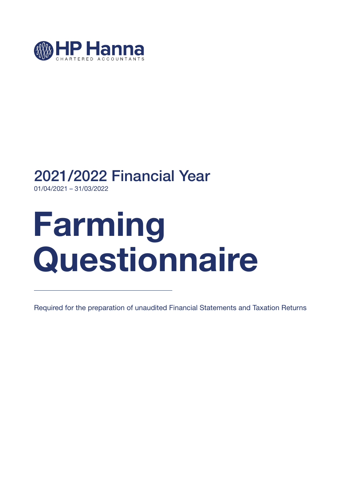

## 2021/2022 Financial Year

01/04/2021 – 31/03/2022

# **Farming Questionnaire**

Required for the preparation of unaudited Financial Statements and Taxation Returns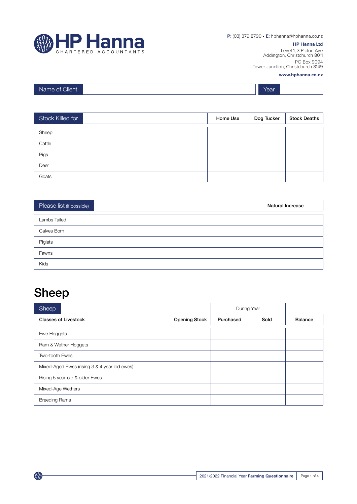

**P:** (03) 379 8790 • **E:** hphanna@hphanna.co.nz

#### **HP Hanna Ltd**

Level 1, 3 Picton Ave Addington, Christchurch 8011 PO Box 9094 Tower Junction, Christchurch 8149

#### **www.hphanna.co.nz**

| Client<br>Name of ( |  | Year |  |
|---------------------|--|------|--|
|---------------------|--|------|--|

| Stock Killed for | Home Use | Dog Tucker | <b>Stock Deaths</b> |
|------------------|----------|------------|---------------------|
| Sheep            |          |            |                     |
| Cattle           |          |            |                     |
| Pigs             |          |            |                     |
| Deer             |          |            |                     |
| Goats            |          |            |                     |

| Please list (if possible) | <b>Natural Increase</b> |
|---------------------------|-------------------------|
| Lambs Tailed              |                         |
| Calves Born               |                         |
| Piglets                   |                         |
| Fawns                     |                         |
| Kids                      |                         |

#### Sheep

| Sheep                                        |                      | During Year |      |                |
|----------------------------------------------|----------------------|-------------|------|----------------|
| <b>Classes of Livestock</b>                  | <b>Opening Stock</b> | Purchased   | Sold | <b>Balance</b> |
| Ewe Hoggets                                  |                      |             |      |                |
| Ram & Wether Hoggets                         |                      |             |      |                |
| Two-tooth Ewes                               |                      |             |      |                |
| Mixed-Aged Ewes (rising 3 & 4 year old ewes) |                      |             |      |                |
| Rising 5 year old & older Ewes               |                      |             |      |                |
| Mixed-Age Wethers                            |                      |             |      |                |
| <b>Breeding Rams</b>                         |                      |             |      |                |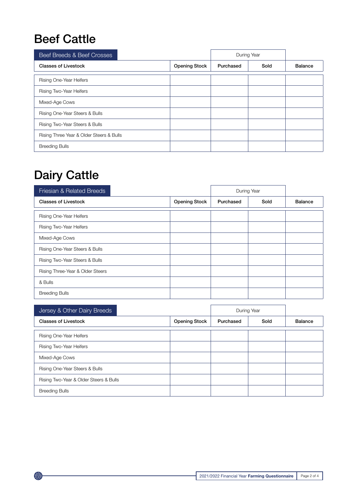#### Beef Cattle

| Beef Breeds & Beef Crosses               |                      |           | During Year |                |
|------------------------------------------|----------------------|-----------|-------------|----------------|
| <b>Classes of Livestock</b>              | <b>Opening Stock</b> | Purchased | Sold        | <b>Balance</b> |
| Rising One-Year Heifers                  |                      |           |             |                |
| Rising Two-Year Heifers                  |                      |           |             |                |
| Mixed-Age Cows                           |                      |           |             |                |
| Rising One-Year Steers & Bulls           |                      |           |             |                |
| Rising Two-Year Steers & Bulls           |                      |           |             |                |
| Rising Three Year & Older Steers & Bulls |                      |           |             |                |
| <b>Breeding Bulls</b>                    |                      |           |             |                |

### Dairy Cattle

| Friesian & Related Breeds        |                      |           | During Year |                |
|----------------------------------|----------------------|-----------|-------------|----------------|
| <b>Classes of Livestock</b>      | <b>Opening Stock</b> | Purchased | Sold        | <b>Balance</b> |
| Rising One-Year Heifers          |                      |           |             |                |
| Rising Two-Year Heifers          |                      |           |             |                |
| Mixed-Age Cows                   |                      |           |             |                |
| Rising One-Year Steers & Bulls   |                      |           |             |                |
| Rising Two-Year Steers & Bulls   |                      |           |             |                |
| Rising Three-Year & Older Steers |                      |           |             |                |
| & Bulls                          |                      |           |             |                |
| <b>Breeding Bulls</b>            |                      |           |             |                |

| Jersey & Other Dairy Breeds            |                      |           | During Year |         |
|----------------------------------------|----------------------|-----------|-------------|---------|
| <b>Classes of Livestock</b>            | <b>Opening Stock</b> | Purchased | Sold        | Balance |
| Rising One-Year Heifers                |                      |           |             |         |
| Rising Two-Year Heifers                |                      |           |             |         |
| Mixed-Age Cows                         |                      |           |             |         |
| Rising One-Year Steers & Bulls         |                      |           |             |         |
| Rising Two-Year & Older Steers & Bulls |                      |           |             |         |
| <b>Breeding Bulls</b>                  |                      |           |             |         |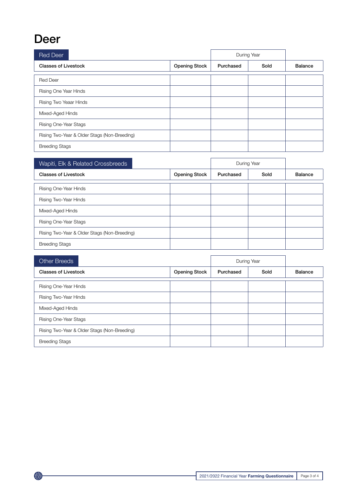#### Deer

| Red Deer                                     |                      | During Year |      |                |
|----------------------------------------------|----------------------|-------------|------|----------------|
| <b>Classes of Livestock</b>                  | <b>Opening Stock</b> | Purchased   | Sold | <b>Balance</b> |
| <b>Red Deer</b>                              |                      |             |      |                |
| Rising One Year Hinds                        |                      |             |      |                |
| Rising Two Yeaar Hinds                       |                      |             |      |                |
| Mixed-Aged Hinds                             |                      |             |      |                |
| Rising One-Year Stags                        |                      |             |      |                |
| Rising Two-Year & Older Stags (Non-Breeding) |                      |             |      |                |
| <b>Breeding Stags</b>                        |                      |             |      |                |

| Wapiti, Elk & Related Crossbreeds            |                      |           | During Year |                |
|----------------------------------------------|----------------------|-----------|-------------|----------------|
| <b>Classes of Livestock</b>                  | <b>Opening Stock</b> | Purchased | Sold        | <b>Balance</b> |
| Rising One-Year Hinds                        |                      |           |             |                |
| Rising Two-Year Hinds                        |                      |           |             |                |
| Mixed-Aged Hinds                             |                      |           |             |                |
| Rising One-Year Stags                        |                      |           |             |                |
| Rising Two-Year & Older Stags (Non-Breeding) |                      |           |             |                |
| <b>Breeding Stags</b>                        |                      |           |             |                |

| <b>Other Breeds</b>                          |                      |           | During Year |                |
|----------------------------------------------|----------------------|-----------|-------------|----------------|
| <b>Classes of Livestock</b>                  | <b>Opening Stock</b> | Purchased | Sold        | <b>Balance</b> |
| Rising One-Year Hinds                        |                      |           |             |                |
| Rising Two-Year Hinds                        |                      |           |             |                |
| Mixed-Aged Hinds                             |                      |           |             |                |
| Rising One-Year Stags                        |                      |           |             |                |
| Rising Two-Year & Older Stags (Non-Breeding) |                      |           |             |                |
| <b>Breeding Stags</b>                        |                      |           |             |                |